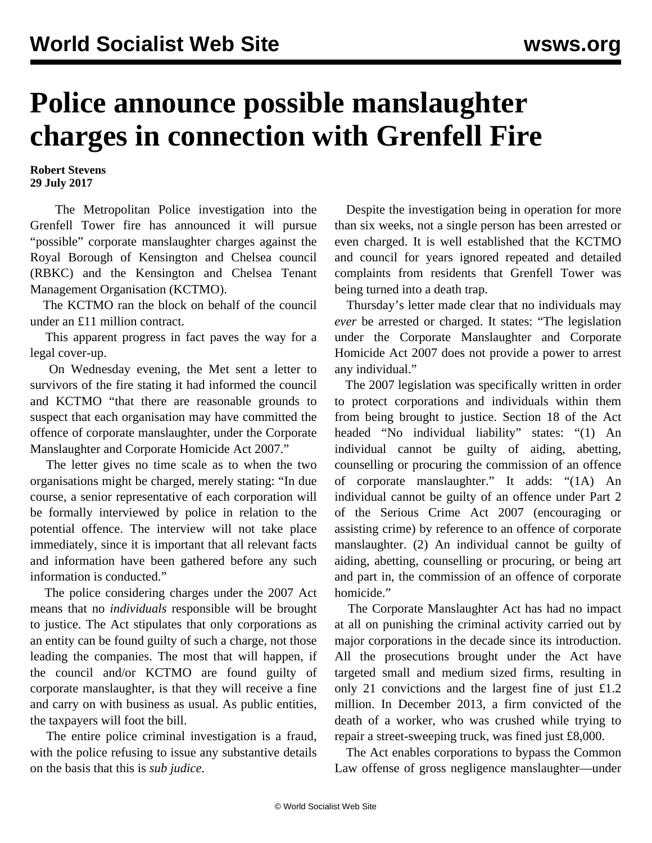## **Police announce possible manslaughter charges in connection with Grenfell Fire**

**Robert Stevens 29 July 2017**

 The Metropolitan Police investigation into the Grenfell Tower fire has announced it will pursue "possible" corporate manslaughter charges against the Royal Borough of Kensington and Chelsea council (RBKC) and the Kensington and Chelsea Tenant Management Organisation (KCTMO).

 The KCTMO ran the block on behalf of the council under an £11 million contract.

 This apparent progress in fact paves the way for a legal cover-up.

 On Wednesday evening, the Met sent a letter to survivors of the fire stating it had informed the council and KCTMO "that there are reasonable grounds to suspect that each organisation may have committed the offence of corporate manslaughter, under the Corporate Manslaughter and Corporate Homicide Act 2007."

 The letter gives no time scale as to when the two organisations might be charged, merely stating: "In due course, a senior representative of each corporation will be formally interviewed by police in relation to the potential offence. The interview will not take place immediately, since it is important that all relevant facts and information have been gathered before any such information is conducted."

 The police considering charges under the 2007 Act means that no *individuals* responsible will be brought to justice. The Act stipulates that only corporations as an entity can be found guilty of such a charge, not those leading the companies. The most that will happen, if the council and/or KCTMO are found guilty of corporate manslaughter, is that they will receive a fine and carry on with business as usual. As public entities, the taxpayers will foot the bill.

 The entire police criminal investigation is a fraud, with the police refusing to issue any substantive details on the basis that this is *sub judice*.

 Despite the investigation being in operation for more than six weeks, not a single person has been arrested or even charged. It is well established that the KCTMO and council for years ignored repeated and detailed complaints from residents that Grenfell Tower was being turned into a death trap.

 Thursday's letter made clear that no individuals may *ever* be arrested or charged. It states: "The legislation under the Corporate Manslaughter and Corporate Homicide Act 2007 does not provide a power to arrest any individual."

 The 2007 legislation was specifically written in order to protect corporations and individuals within them from being brought to justice. Section 18 of the Act headed "No individual liability" states: "(1) An individual cannot be guilty of aiding, abetting, counselling or procuring the commission of an offence of corporate manslaughter." It adds: "(1A) An individual cannot be guilty of an offence under Part 2 of the Serious Crime Act 2007 (encouraging or assisting crime) by reference to an offence of corporate manslaughter. (2) An individual cannot be guilty of aiding, abetting, counselling or procuring, or being art and part in, the commission of an offence of corporate homicide."

 The Corporate Manslaughter Act has had no impact at all on punishing the criminal activity carried out by major corporations in the decade since its introduction. All the prosecutions brought under the Act have targeted small and medium sized firms, resulting in only 21 convictions and the largest fine of just £1.2 million. In December 2013, a firm convicted of the death of a worker, who was crushed while trying to repair a street-sweeping truck, was fined just £8,000.

 The Act enables corporations to bypass the Common Law offense of gross negligence manslaughter—under